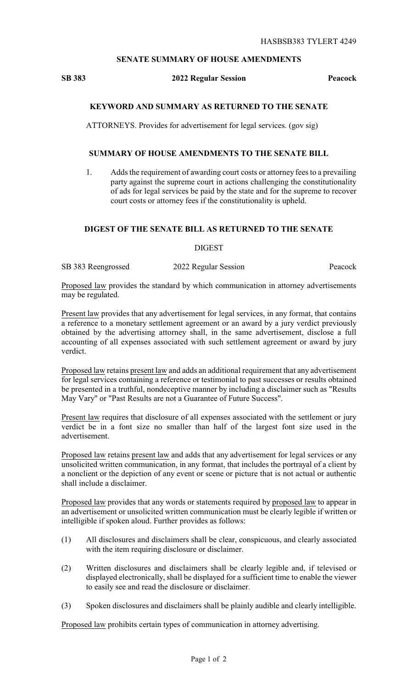### **SENATE SUMMARY OF HOUSE AMENDMENTS**

#### **SB 383 2022 Regular Session Peacock**

# **KEYWORD AND SUMMARY AS RETURNED TO THE SENATE**

ATTORNEYS. Provides for advertisement for legal services. (gov sig)

### **SUMMARY OF HOUSE AMENDMENTS TO THE SENATE BILL**

1. Adds the requirement of awarding court costs or attorney fees to a prevailing party against the supreme court in actions challenging the constitutionality of ads for legal services be paid by the state and for the supreme to recover court costs or attorney fees if the constitutionality is upheld.

# **DIGEST OF THE SENATE BILL AS RETURNED TO THE SENATE**

DIGEST

SB 383 Reengrossed 2022 Regular Session Peacock

Proposed law provides the standard by which communication in attorney advertisements may be regulated.

Present law provides that any advertisement for legal services, in any format, that contains a reference to a monetary settlement agreement or an award by a jury verdict previously obtained by the advertising attorney shall, in the same advertisement, disclose a full accounting of all expenses associated with such settlement agreement or award by jury verdict.

Proposed law retains present law and adds an additional requirement that any advertisement for legal services containing a reference or testimonial to past successes or results obtained be presented in a truthful, nondeceptive manner by including a disclaimer such as "Results May Vary" or "Past Results are not a Guarantee of Future Success".

Present law requires that disclosure of all expenses associated with the settlement or jury verdict be in a font size no smaller than half of the largest font size used in the advertisement.

Proposed law retains present law and adds that any advertisement for legal services or any unsolicited written communication, in any format, that includes the portrayal of a client by a nonclient or the depiction of any event or scene or picture that is not actual or authentic shall include a disclaimer.

Proposed law provides that any words or statements required by proposed law to appear in an advertisement or unsolicited written communication must be clearly legible if written or intelligible if spoken aloud. Further provides as follows:

- (1) All disclosures and disclaimers shall be clear, conspicuous, and clearly associated with the item requiring disclosure or disclaimer.
- (2) Written disclosures and disclaimers shall be clearly legible and, if televised or displayed electronically, shall be displayed for a sufficient time to enable the viewer to easily see and read the disclosure or disclaimer.
- (3) Spoken disclosures and disclaimers shall be plainly audible and clearly intelligible.

Proposed law prohibits certain types of communication in attorney advertising.